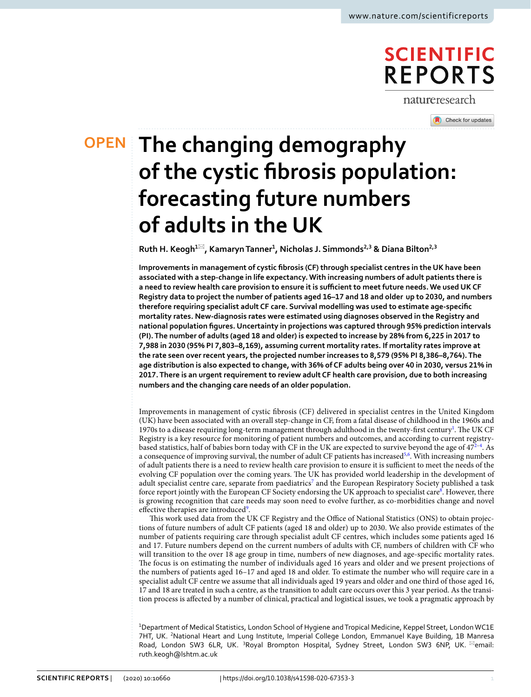# **SCIENTIFIC REPORTS**

natureresearch

Check for updates

# **The changing demography OPEN of the cystic fbrosis population: forecasting future numbers of adults in the UK**

**Ruth H. Keogh1**\***, Kamaryn Tanner1 , Nicholas J. Simmonds2,3 & Diana Bilton2,3**

**Improvements in management of cystic fbrosis (CF) through specialist centres in the UK have been associated with a step-change in life expectancy.With increasing numbers of adult patients there is** a need to review health care provision to ensure it is sufficient to meet future needs. We used UK CF **Registry data to project the number of patients aged 16–17 and 18 and older  up to 2030, and numbers therefore requiring specialist adult CF care. Survival modelling was used to estimate age-specifc mortality rates. New-diagnosis rates were estimated using diagnoses observed in the Registry and national population fgures. Uncertainty in projections was captured through 95% prediction intervals (PI).The number of adults (aged 18 and older) is expected to increase by 28% from 6,225 in 2017 to 7,988 in 2030 (95% PI 7,803–8,169), assuming current mortality rates. If mortality rates improve at the rate seen over recent years, the projected number increases to 8,579 (95% PI 8,386–8,764).The** age distribution is also expected to change, with 36% of CF adults being over 40 in 2030, versus 21% in **2017.There is an urgent requirement to review adult CF health care provision, due to both increasing numbers and the changing care needs of an older population.**

Improvements in management of cystic fbrosis (CF) delivered in specialist centres in the United Kingdom (UK) have been associated with an overall step-change in CF, from a fatal disease of childhood in the 1960s and [1](#page-6-0)970s to a disease requiring long-term management through adulthood in the twenty-first century<sup>1</sup>. The UK CF Registry is a key resource for monitoring of patient numbers and outcomes, and according to current registry-based statistics, half of babies born today with CF in the UK are expected to survive beyond the age of [4](#page-6-2)7<sup>2-4</sup>. As a consequence of improving survival, the number of adult CF patients has increased<sup>[5,](#page-6-3)[6](#page-6-4)</sup>. With increasing numbers of adult patients there is a need to review health care provision to ensure it is sufcient to meet the needs of the evolving CF population over the coming years. The UK has provided world leadership in the development of adult specialist centre care, separate from paediatrics<sup>7</sup> and the European Respiratory Society published a task force report jointly with the European CF Society endorsing the UK approach to specialist care<sup>8</sup>. However, there is growing recognition that care needs may soon need to evolve further, as co-morbidities change and novel effective therapies are introduced<sup>[9](#page-6-7)</sup>.

This work used data from the UK CF Registry and the Office of National Statistics (ONS) to obtain projections of future numbers of adult CF patients (aged 18 and older) up to 2030. We also provide estimates of the number of patients requiring care through specialist adult CF centres, which includes some patients aged 16 and 17. Future numbers depend on the current numbers of adults with CF, numbers of children with CF who will transition to the over 18 age group in time, numbers of new diagnoses, and age-specifc mortality rates. The focus is on estimating the number of individuals aged 16 years and older and we present projections of the numbers of patients aged 16–17 and aged 18 and older. To estimate the number who will require care in a specialist adult CF centre we assume that all individuals aged 19 years and older and one third of those aged 16, 17 and 18 are treated in such a centre, as the transition to adult care occurs over this 3 year period. As the transition process is afected by a number of clinical, practical and logistical issues, we took a pragmatic approach by

1 Department of Medical Statistics, London School of Hygiene and Tropical Medicine, Keppel Street, London WC1E 7HT, UK. <sup>2</sup>National Heart and Lung Institute, Imperial College London, Emmanuel Kaye Building, 1B Manresa Road, London SW3 6LR, UK. <sup>3</sup>Royal Brompton Hospital, Sydney Street, London SW3 6NP, UK. <sup>⊠</sup>email: ruth.keogh@lshtm.ac.uk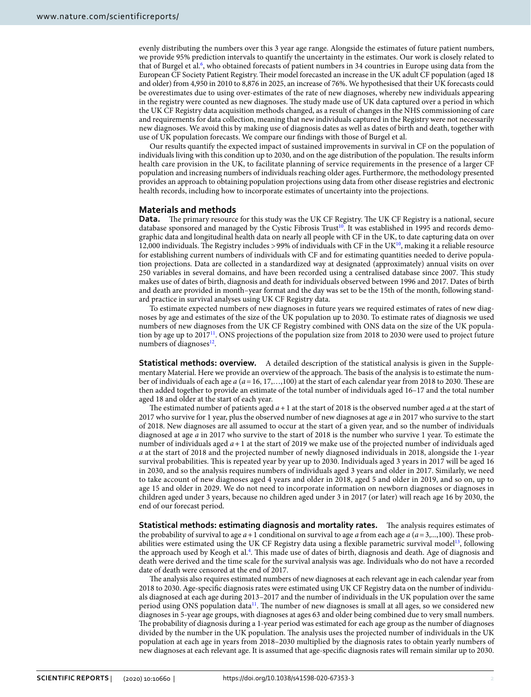evenly distributing the numbers over this 3 year age range. Alongside the estimates of future patient numbers, we provide 95% prediction intervals to quantify the uncertainty in the estimates. Our work is closely related to that of Burgel et al.<sup>[6](#page-6-4)</sup>, who obtained forecasts of patient numbers in 34 countries in Europe using data from the European CF Society Patient Registry. Their model forecasted an increase in the UK adult CF population (aged 18 and older) from 4,950 in 2010 to 8,876 in 2025, an increase of 76%. We hypothesised that their UK forecasts could be overestimates due to using over-estimates of the rate of new diagnoses, whereby new individuals appearing in the registry were counted as new diagnoses. The study made use of UK data captured over a period in which the UK CF Registry data acquisition methods changed, as a result of changes in the NHS commissioning of care and requirements for data collection, meaning that new individuals captured in the Registry were not necessarily new diagnoses. We avoid this by making use of diagnosis dates as well as dates of birth and death, together with use of UK population forecasts. We compare our fndings with those of Burgel et al.

Our results quantify the expected impact of sustained improvements in survival in CF on the population of individuals living with this condition up to 2030, and on the age distribution of the population. The results inform health care provision in the UK, to facilitate planning of service requirements in the presence of a larger CF population and increasing numbers of individuals reaching older ages. Furthermore, the methodology presented provides an approach to obtaining population projections using data from other disease registries and electronic health records, including how to incorporate estimates of uncertainty into the projections.

#### **Materials and methods**

**Data.** The primary resource for this study was the UK CF Registry. The UK CF Registry is a national, secure database sponsored and managed by the Cystic Fibrosis Trust<sup>[10](#page-6-8)</sup>. It was established in 1995 and records demographic data and longitudinal health data on nearly all people with CF in the UK, to date capturing data on over 12,000 individuals. The Registry includes >99% of individuals with CF in the UK $^{10}$ , making it a reliable resource for establishing current numbers of individuals with CF and for estimating quantities needed to derive population projections. Data are collected in a standardized way at designated (approximately) annual visits on over 250 variables in several domains, and have been recorded using a centralised database since 2007. Tis study makes use of dates of birth, diagnosis and death for individuals observed between 1996 and 2017. Dates of birth and death are provided in month–year format and the day was set to be the 15th of the month, following standard practice in survival analyses using UK CF Registry data.

To estimate expected numbers of new diagnoses in future years we required estimates of rates of new diagnoses by age and estimates of the size of the UK population up to 2030. To estimate rates of diagnosis we used numbers of new diagnoses from the UK CF Registry combined with ONS data on the size of the UK population by age up to 2017[11.](#page-6-9) ONS projections of the population size from 2018 to 2030 were used to project future numbers of diagnoses $^{12}$ .

**Statistical methods: overview.** A detailed description of the statistical analysis is given in the Supplementary Material. Here we provide an overview of the approach. The basis of the analysis is to estimate the number of individuals of each age *a* (*a*=16, 17,…,100) at the start of each calendar year from 2018 to 2030. Tese are then added together to provide an estimate of the total number of individuals aged 16–17 and the total number aged 18 and older at the start of each year.

The estimated number of patients aged  $a + 1$  at the start of 2018 is the observed number aged  $a$  at the start of 2017 who survive for 1 year, plus the observed number of new diagnoses at age *a* in 2017 who survive to the start of 2018. New diagnoses are all assumed to occur at the start of a given year, and so the number of individuals diagnosed at age *a* in 2017 who survive to the start of 2018 is the number who survive 1 year. To estimate the number of individuals aged *a*+1 at the start of 2019 we make use of the projected number of individuals aged *a* at the start of 2018 and the projected number of newly diagnosed individuals in 2018, alongside the 1-year survival probabilities. This is repeated year by year up to 2030. Individuals aged 3 years in 2017 will be aged 16 in 2030, and so the analysis requires numbers of individuals aged 3 years and older in 2017. Similarly, we need to take account of new diagnoses aged 4 years and older in 2018, aged 5 and older in 2019, and so on, up to age 15 and older in 2029. We do not need to incorporate information on newborn diagnoses or diagnoses in children aged under 3 years, because no children aged under 3 in 2017 (or later) will reach age 16 by 2030, the end of our forecast period.

**Statistical methods: estimating diagnosis and mortality rates.** Te analysis requires estimates of the probability of survival to age  $a+1$  conditional on survival to age  $a$  from each age  $a$  ( $a=3,...,100$ ). These probabilities were estimated using the UK CF Registry data using a flexible parametric survival model<sup>13</sup>, following the approach used by Keogh et al.<sup>4</sup>. This made use of dates of birth, diagnosis and death. Age of diagnosis and death were derived and the time scale for the survival analysis was age. Individuals who do not have a recorded date of death were censored at the end of 2017.

The analysis also requires estimated numbers of new diagnoses at each relevant age in each calendar year from 2018 to 2030. Age-specifc diagnosis rates were estimated using UK CF Registry data on the number of individuals diagnosed at each age during 2013–2017 and the number of individuals in the UK population over the same period using ONS population data<sup>11</sup>. The number of new diagnoses is small at all ages, so we considered new diagnoses in 5-year age groups, with diagnoses at ages 63 and older being combined due to very small numbers. The probability of diagnosis during a 1-year period was estimated for each age group as the number of diagnoses divided by the number in the UK population. The analysis uses the projected number of individuals in the UK population at each age in years from 2018–2030 multiplied by the diagnosis rates to obtain yearly numbers of new diagnoses at each relevant age. It is assumed that age-specifc diagnosis rates will remain similar up to 2030.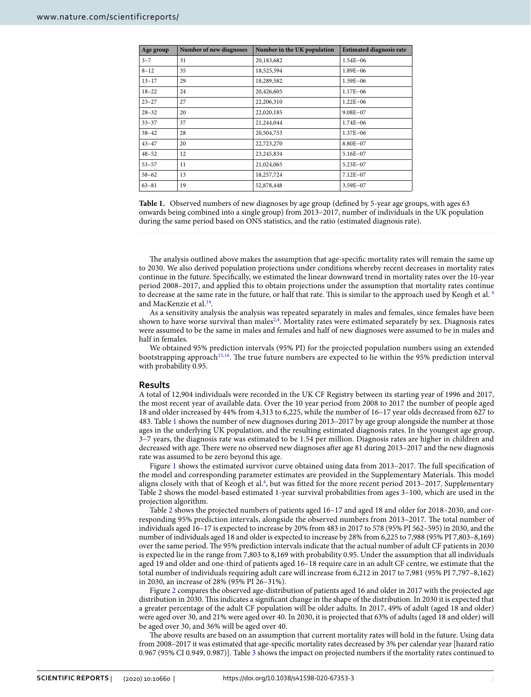| Age group | Number of new diagnoses | Number in the UK population | <b>Estimated diagnosis rate</b> |
|-----------|-------------------------|-----------------------------|---------------------------------|
| $3 - 7$   | 31                      | 20,183,682                  | $1.54E - 06$                    |
| $8 - 12$  | 35                      | 18,525,594                  | $1.89E - 06$                    |
| $13 - 17$ | 29                      | 18,289,582                  | $1.59E - 06$                    |
| $18 - 22$ | 24                      | 20,426,605                  | $1.17E - 06$                    |
| $23 - 27$ | 27                      | 22,206,310                  | $1.22E - 06$                    |
| $28 - 32$ | 20                      | 22,020,185                  | $9.08E - 07$                    |
| $33 - 37$ | 37                      | 21,244,044                  | $1.74E - 06$                    |
| $38 - 42$ | 28                      | 20,504,753                  | $1.37E - 06$                    |
| $43 - 47$ | 20                      | 22,723,270                  | 8.80E-07                        |
| $48 - 52$ | 12                      | 23,245,834                  | $5.16E - 07$                    |
| $53 - 57$ | 11                      | 21,024,065                  | 5.23E-07                        |
| $58 - 62$ | 13                      | 18,257,724                  | $7.12E - 07$                    |
| $63 - 81$ | 19                      | 52,878,448                  | $3.59E - 07$                    |

<span id="page-2-0"></span>**Table 1.** Observed numbers of new diagnoses by age group (defned by 5-year age groups, with ages 63 onwards being combined into a single group) from 2013–2017, number of individuals in the UK population during the same period based on ONS statistics, and the ratio (estimated diagnosis rate).

The analysis outlined above makes the assumption that age-specific mortality rates will remain the same up to 2030. We also derived population projections under conditions whereby recent decreases in mortality rates continue in the future. Specifcally, we estimated the linear downward trend in mortality rates over the 10-year period 2008–2017, and applied this to obtain projections under the assumption that mortality rates continue to decrease at the same rate in the future, or half that rate. This is similar to the approach used by Keogh et al.<sup>4</sup> and MacKenzie et al.<sup>14</sup>.

As a sensitivity analysis the analysis was repeated separately in males and females, since females have been shown to have worse survival than males<sup>[2](#page-6-1),[4](#page-6-2)</sup>. Mortality rates were estimated separately by sex. Diagnosis rates were assumed to be the same in males and females and half of new diagnoses were assumed to be in males and half in females.

We obtained 95% prediction intervals (95% PI) for the projected population numbers using an extended bootstrapping approach<sup>15,[16](#page-6-14)</sup>. The true future numbers are expected to lie within the 95% prediction interval with probability 0.95.

#### **Results**

A total of 12,904 individuals were recorded in the UK CF Registry between its starting year of 1996 and 2017, the most recent year of available data. Over the 10 year period from 2008 to 2017 the number of people aged 18 and older increased by 44% from 4,313 to 6,225, while the number of 16–17 year olds decreased from 627 to 483. Table [1](#page-2-0) shows the number of new diagnoses during 2013–2017 by age group alongside the number at those ages in the underlying UK population, and the resulting estimated diagnosis rates. In the youngest age group, 3–7 years, the diagnosis rate was estimated to be 1.54 per million. Diagnosis rates are higher in children and decreased with age. There were no observed new diagnoses after age 81 during 2013–2017 and the new diagnosis rate was assumed to be zero beyond this age.

Figure [1](#page-3-0) shows the estimated survivor curve obtained using data from 2013-2017. The full specification of the model and corresponding parameter estimates are provided in the Supplementary Materials. Tis model aligns closely with that of Keogh et al.<sup>4</sup>, but was fitted for the more recent period 2013-2017. Supplementary Table 2 shows the model-based estimated 1-year survival probabilities from ages 3–100, which are used in the projection algorithm.

Table [2](#page-3-1) shows the projected numbers of patients aged 16–17 and aged 18 and older for 2018–2030, and corresponding 95% prediction intervals, alongside the observed numbers from 2013–2017. The total number of individuals aged 16–17 is expected to increase by 20% from 483 in 2017 to 578 (95% PI 562–595) in 2030, and the number of individuals aged 18 and older is expected to increase by 28% from 6,225 to 7,988 (95% PI 7,803–8,169) over the same period. The 95% prediction intervals indicate that the actual number of adult CF patients in 2030 is expected lie in the range from 7,803 to 8,169 with probability 0.95. Under the assumption that all individuals aged 19 and older and one-third of patients aged 16–18 require care in an adult CF centre, we estimate that the total number of individuals requiring adult care will increase from 6,212 in 2017 to 7,981 (95% PI 7,797–8,162) in 2030, an increase of 28% (95% PI 26–31%).

Figure [2](#page-4-0) compares the observed age-distribution of patients aged 16 and older in 2017 with the projected age distribution in 2030. This indicates a significant change in the shape of the distribution. In 2030 it is expected that a greater percentage of the adult CF population will be older adults. In 2017, 49% of adult (aged 18 and older) were aged over 30, and 21% were aged over 40. In 2030, it is projected that 63% of adults (aged 18 and older) will be aged over 30, and 36% will be aged over 40.

The above results are based on an assumption that current mortality rates will hold in the future. Using data from 2008–2017 it was estimated that age-specifc mortality rates decreased by 3% per calendar year [hazard ratio 0.967 (95% CI 0.949, 0.987)]. Table [3](#page-4-1) shows the impact on projected numbers if the mortality rates continued to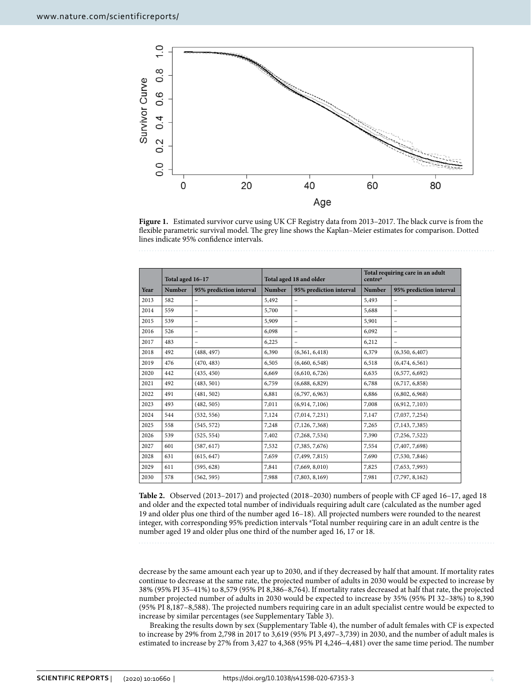

<span id="page-3-0"></span>Figure 1. Estimated survivor curve using UK CF Registry data from 2013-2017. The black curve is from the flexible parametric survival model. The grey line shows the Kaplan–Meier estimates for comparison. Dotted lines indicate 95% confdence intervals.

|      | Total aged 16-17 |                          | Total aged 18 and older |                          | Total requiring care in an adult<br>centre <sup>a</sup> |                          |
|------|------------------|--------------------------|-------------------------|--------------------------|---------------------------------------------------------|--------------------------|
| Year | Number           | 95% prediction interval  | <b>Number</b>           | 95% prediction interval  | Number                                                  | 95% prediction interval  |
| 2013 | 582              | $\overline{\phantom{0}}$ | 5,492                   | -                        | 5,493                                                   | $\qquad \qquad -$        |
| 2014 | 559              | $\overline{\phantom{0}}$ | 5,700                   |                          | 5,688                                                   | $\qquad \qquad -$        |
| 2015 | 539              |                          | 5,909                   | $\qquad \qquad -$        | 5,901                                                   | $\qquad \qquad -$        |
| 2016 | 526              | -                        | 6,098                   | $\overline{\phantom{0}}$ | 6,092                                                   | -                        |
| 2017 | 483              | $\overline{\phantom{0}}$ | 6.225                   | $\qquad \qquad -$        | 6,212                                                   | $\overline{\phantom{m}}$ |
| 2018 | 492              | (488, 497)               | 6,390                   | (6,361, 6,418)           | 6,379                                                   | (6,350, 6,407)           |
| 2019 | 476              | (470, 483)               | 6,505                   | (6,460, 6,548)           | 6,518                                                   | (6,474,6,561)            |
| 2020 | 442              | (435, 450)               | 6,669                   | (6,610, 6,726)           | 6,635                                                   | (6,577,6,692)            |
| 2021 | 492              | (483, 501)               | 6,759                   | (6,688, 6,829)           | 6,788                                                   | (6,717, 6,858)           |
| 2022 | 491              | (481, 502)               | 6,881                   | (6,797, 6,963)           | 6,886                                                   | (6,802, 6,968)           |
| 2023 | 493              | (482, 505)               | 7,011                   | (6,914, 7,106)           | 7,008                                                   | (6,912, 7,103)           |
| 2024 | 544              | (532, 556)               | 7,124                   | (7,014, 7,231)           | 7,147                                                   | (7,037, 7,254)           |
| 2025 | 558              | (545, 572)               | 7,248                   | (7, 126, 7, 368)         | 7,265                                                   | (7, 143, 7, 385)         |
| 2026 | 539              | (525, 554)               | 7,402                   | (7,268,7,534)            | 7,390                                                   | (7,256, 7,522)           |
| 2027 | 601              | (587, 617)               | 7,532                   | (7,385, 7,676)           | 7,554                                                   | (7,407,7,698)            |
| 2028 | 631              | (615, 647)               | 7,659                   | (7, 499, 7, 815)         | 7,690                                                   | (7,530, 7,846)           |
| 2029 | 611              | (595, 628)               | 7,841                   | (7,669, 8,010)           | 7,825                                                   | (7,653, 7,993)           |
| 2030 | 578              | (562, 595)               | 7,988                   | (7,803, 8,169)           | 7,981                                                   | (7,797, 8,162)           |

<span id="page-3-1"></span>**Table 2.** Observed (2013–2017) and projected (2018–2030) numbers of people with CF aged 16–17, aged 18 and older and the expected total number of individuals requiring adult care (calculated as the number aged 19 and older plus one third of the number aged 16–18). All projected numbers were rounded to the nearest integer, with corresponding 95% prediction intervals <sup>a</sup>Total number requiring care in an adult centre is the number aged 19 and older plus one third of the number aged 16, 17 or 18.

decrease by the same amount each year up to 2030, and if they decreased by half that amount. If mortality rates continue to decrease at the same rate, the projected number of adults in 2030 would be expected to increase by 38% (95% PI 35–41%) to 8,579 (95% PI 8,386–8,764). If mortality rates decreased at half that rate, the projected number projected number of adults in 2030 would be expected to increase by 35% (95% PI 32–38%) to 8,390 (95% PI 8,187–8,588). Te projected numbers requiring care in an adult specialist centre would be expected to increase by similar percentages (see Supplementary Table 3).

Breaking the results down by sex (Supplementary Table 4), the number of adult females with CF is expected to increase by 29% from 2,798 in 2017 to 3,619 (95% PI 3,497–3,739) in 2030, and the number of adult males is estimated to increase by 27% from 3,427 to 4,368 (95% PI 4,246-4,481) over the same time period. The number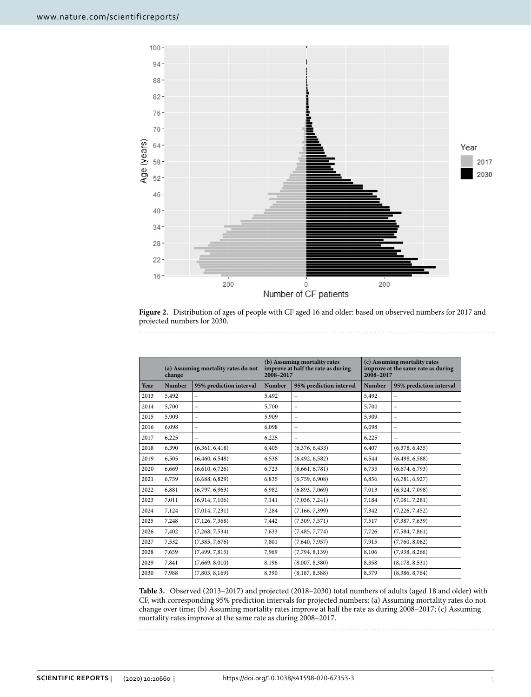

<span id="page-4-0"></span>**Figure 2.** Distribution of ages of people with CF aged 16 and older: based on observed numbers for 2017 and projected numbers for 2030.

|      | (a) Assuming mortality rates do not<br>change |                          | (b) Assuming mortality rates<br>improve at half the rate as during<br>2008-2017 |                         | (c) Assuming mortality rates<br>improve at the same rate as during<br>2008-2017 |                         |
|------|-----------------------------------------------|--------------------------|---------------------------------------------------------------------------------|-------------------------|---------------------------------------------------------------------------------|-------------------------|
| Year | <b>Number</b>                                 | 95% prediction interval  | <b>Number</b>                                                                   | 95% prediction interval | <b>Number</b>                                                                   | 95% prediction interval |
| 2013 | 5,492                                         |                          | 5,492                                                                           | $\qquad \qquad -$       | 5,492                                                                           | -                       |
| 2014 | 5,700                                         |                          | 5,700                                                                           | $\qquad \qquad -$       | 5,700                                                                           | -                       |
| 2015 | 5,909                                         | $\overline{\phantom{0}}$ | 5,909                                                                           | $\qquad \qquad -$       | 5,909                                                                           |                         |
| 2016 | 6,098                                         |                          | 6,098                                                                           | $\qquad \qquad -$       | 6,098                                                                           | -                       |
| 2017 | 6,225                                         | -                        | 6,225                                                                           |                         | 6,225                                                                           |                         |
| 2018 | 6,390                                         | (6,361, 6,418)           | 6,405                                                                           | (6,376,6,433)           | 6,407                                                                           | (6,378, 6,435)          |
| 2019 | 6,505                                         | (6,460, 6,548)           | 6,538                                                                           | (6,492, 6,582)          | 6,544                                                                           | (6,498, 6,588)          |
| 2020 | 6,669                                         | (6,610, 6,726)           | 6,723                                                                           | (6,661, 6,781)          | 6,735                                                                           | (6,674,6,793)           |
| 2021 | 6,759                                         | (6,688, 6,829)           | 6,835                                                                           | (6,759, 6,908)          | 6,856                                                                           | (6,781, 6,927)          |
| 2022 | 6,881                                         | (6,797, 6,963)           | 6,982                                                                           | (6,893, 7,069)          | 7,013                                                                           | (6,924, 7,098)          |
| 2023 | 7,011                                         | (6,914, 7,106)           | 7,141                                                                           | (7,036, 7,241)          | 7,184                                                                           | (7,081, 7,281)          |
| 2024 | 7,124                                         | (7,014, 7,231)           | 7,284                                                                           | (7,166, 7,399)          | 7,342                                                                           | (7,226, 7,452)          |
| 2025 | 7,248                                         | (7, 126, 7, 368)         | 7,442                                                                           | (7,309, 7,571)          | 7,517                                                                           | (7,387, 7,639)          |
| 2026 | 7,402                                         | (7,268, 7,534)           | 7,633                                                                           | (7, 485, 7, 774)        | 7,726                                                                           | (7,584, 7,861)          |
| 2027 | 7,532                                         | (7,385, 7,676)           | 7,801                                                                           | (7,640, 7,957)          | 7.915                                                                           | (7,760, 8,062)          |
| 2028 | 7,659                                         | (7,499, 7,815)           | 7,969                                                                           | (7,794, 8,139)          | 8,106                                                                           | (7,938, 8,266)          |
| 2029 | 7,841                                         | (7,669, 8,010)           | 8,196                                                                           | (8,007, 8,380)          | 8,358                                                                           | (8,178, 8,531)          |
| 2030 | 7,988                                         | (7,803, 8,169)           | 8,390                                                                           | (8,187, 8,588)          | 8,579                                                                           | (8,386, 8,764)          |

<span id="page-4-1"></span>**Table 3.** Observed (2013–2017) and projected (2018–2030) total numbers of adults (aged 18 and older) with CF, with corresponding 95% prediction intervals for projected numbers: (a) Assuming mortality rates do not change over time; (b) Assuming mortality rates improve at half the rate as during 2008–2017; (c) Assuming mortality rates improve at the same rate as during 2008–2017.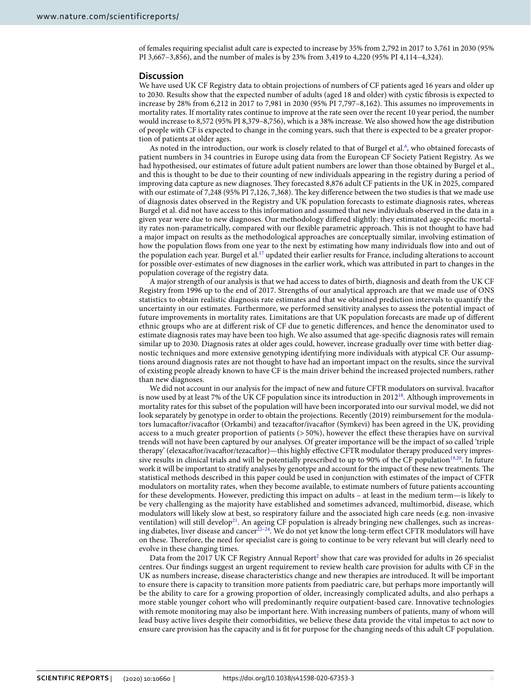of females requiring specialist adult care is expected to increase by 35% from 2,792 in 2017 to 3,761 in 2030 (95% PI 3,667–3,856), and the number of males is by 23% from 3,419 to 4,220 (95% PI 4,114–4,324).

#### **Discussion**

We have used UK CF Registry data to obtain projections of numbers of CF patients aged 16 years and older up to 2030. Results show that the expected number of adults (aged 18 and older) with cystic fbrosis is expected to increase by 28% from 6,212 in 2017 to 7,981 in 2030 (95% PI 7,797–8,162). Tis assumes no improvements in mortality rates. If mortality rates continue to improve at the rate seen over the recent 10 year period, the number would increase to 8,572 (95% PI 8,379–8,756), which is a 38% increase. We also showed how the age distribution of people with CF is expected to change in the coming years, such that there is expected to be a greater proportion of patients at older ages.

As noted in the introduction, our work is closely related to that of Burgel et al.<sup>[6](#page-6-4)</sup>, who obtained forecasts of patient numbers in 34 countries in Europe using data from the European CF Society Patient Registry. As we had hypothesised, our estimates of future adult patient numbers are lower than those obtained by Burgel et al., and this is thought to be due to their counting of new individuals appearing in the registry during a period of improving data capture as new diagnoses. Tey forecasted 8,876 adult CF patients in the UK in 2025, compared with our estimate of 7,248 (95% PI 7,126, 7,368). The key difference between the two studies is that we made use of diagnosis dates observed in the Registry and UK population forecasts to estimate diagnosis rates, whereas Burgel et al. did not have access to this information and assumed that new individuals observed in the data in a given year were due to new diagnoses. Our methodology difered slightly: they estimated age-specifc mortality rates non-parametrically, compared with our flexible parametric approach. This is not thought to have had a major impact on results as the methodological approaches are conceptually similar, involving estimation of how the population fows from one year to the next by estimating how many individuals fow into and out of the population each year. Burgel et al.<sup>17</sup> updated their earlier results for France, including alterations to account for possible over-estimates of new diagnoses in the earlier work, which was attributed in part to changes in the population coverage of the registry data.

A major strength of our analysis is that we had access to dates of birth, diagnosis and death from the UK CF Registry from 1996 up to the end of 2017. Strengths of our analytical approach are that we made use of ONS statistics to obtain realistic diagnosis rate estimates and that we obtained prediction intervals to quantify the uncertainty in our estimates. Furthermore, we performed sensitivity analyses to assess the potential impact of future improvements in mortality rates. Limitations are that UK population forecasts are made up of diferent ethnic groups who are at diferent risk of CF due to genetic diferences, and hence the denominator used to estimate diagnosis rates may have been too high. We also assumed that age-specifc diagnosis rates will remain similar up to 2030. Diagnosis rates at older ages could, however, increase gradually over time with better diagnostic techniques and more extensive genotyping identifying more individuals with atypical CF. Our assumptions around diagnosis rates are not thought to have had an important impact on the results, since the survival of existing people already known to have CF is the main driver behind the increased projected numbers, rather than new diagnoses.

We did not account in our analysis for the impact of new and future CFTR modulators on survival. Ivacafor is now used by at least 7% of the UK CF population since its introduction in  $2012^{18}$  $2012^{18}$  $2012^{18}$ . Although improvements in mortality rates for this subset of the population will have been incorporated into our survival model, we did not look separately by genotype in order to obtain the projections. Recently (2019) reimbursement for the modulators lumacafor/ivacafor (Orkambi) and tezacafor/ivacafor (Symkevi) has been agreed in the UK, providing access to a much greater proportion of patients (> 50%), however the efect these therapies have on survival trends will not have been captured by our analyses. Of greater importance will be the impact of so called 'triple therapy' (elexacaftor/ivacaftor/tezacaftor)—this highly effective CFTR modulator therapy produced very impres-sive results in clinical trials and will be potentially prescribed to up to 90% of the CF population<sup>[19,](#page-6-17)20</sup>. In future work it will be important to stratify analyses by genotype and account for the impact of these new treatments. The statistical methods described in this paper could be used in conjunction with estimates of the impact of CFTR modulators on mortality rates, when they become available, to estimate numbers of future patients accounting for these developments. However, predicting this impact on adults – at least in the medium term—is likely to be very challenging as the majority have established and sometimes advanced, multimorbid, disease, which modulators will likely slow at best, so respiratory failure and the associated high care needs (e.g. non-invasive ventilation) will still develop<sup>[21](#page-6-19)</sup>. An ageing CF population is already bringing new challenges, such as increasing diabetes, liver disease and cancer<sup>22-24</sup>. We do not yet know the long-term effect CFTR modulators will have on these. Therefore, the need for specialist care is going to continue to be very relevant but will clearly need to evolve in these changing times.

Data from the [2](#page-6-1)017 UK CF Registry Annual Report<sup>2</sup> show that care was provided for adults in 26 specialist centres. Our fndings suggest an urgent requirement to review health care provision for adults with CF in the UK as numbers increase, disease characteristics change and new therapies are introduced. It will be important to ensure there is capacity to transition more patients from paediatric care, but perhaps more importantly will be the ability to care for a growing proportion of older, increasingly complicated adults, and also perhaps a more stable younger cohort who will predominantly require outpatient-based care. Innovative technologies with remote monitoring may also be important here. With increasing numbers of patients, many of whom will lead busy active lives despite their comorbidities, we believe these data provide the vital impetus to act now to ensure care provision has the capacity and is ft for purpose for the changing needs of this adult CF population.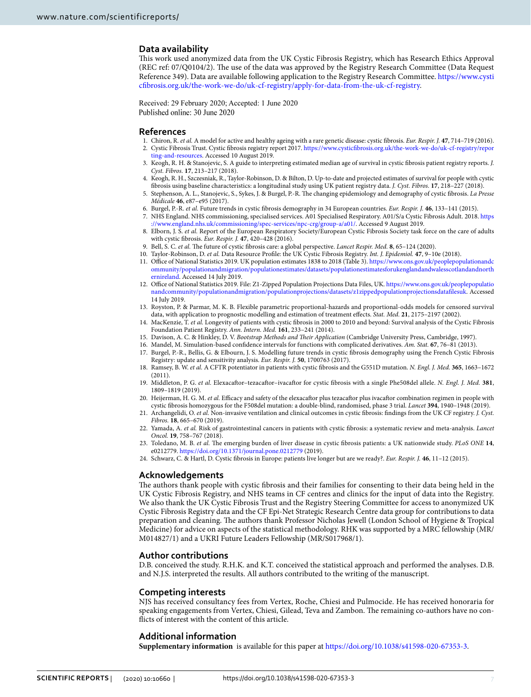## **Data availability**

Tis work used anonymized data from the UK Cystic Fibrosis Registry, which has Research Ethics Approval (REC ref: 07/Q0104/2). The use of the data was approved by the Registry Research Committee (Data Request Reference 349). Data are available following application to the Registry Research Committee. [https://www.cysti](https://www.cysticfibrosis.org.uk/the-work-we-do/uk-cf-registry/apply-for-data-from-the-uk-cf-registry) [cfbrosis.org.uk/the-work-we-do/uk-cf-registry/apply-for-data-from-the-uk-cf-registry.](https://www.cysticfibrosis.org.uk/the-work-we-do/uk-cf-registry/apply-for-data-from-the-uk-cf-registry)

Received: 29 February 2020; Accepted: 1 June 2020

#### **References**

- <span id="page-6-1"></span><span id="page-6-0"></span>1. Chiron, R. *et al.* A model for active and healthy ageing with a rare genetic disease: cystic fbrosis. *Eur. Respir. J.* **47**, 714–719 (2016). 2. Cystic Fibrosis Trust. Cystic fbrosis registry report 2017. [https://www.cysticfbrosis.org.uk/the-work-we-do/uk-cf-registry/repor](https://www.cysticfibrosis.org.uk/the-work-we-do/uk-cf-registry/reporting-and-resources)
- [ting-and-resources.](https://www.cysticfibrosis.org.uk/the-work-we-do/uk-cf-registry/reporting-and-resources) Accessed 10 August 2019.
- 3. Keogh, R. H. & Stanojevic, S. A guide to interpreting estimated median age of survival in cystic fbrosis patient registry reports. *J. Cyst. Fibros.* **17**, 213–217 (2018).
- <span id="page-6-2"></span>4. Keogh, R. H., Szczesniak, R., Taylor-Robinson, D. & Bilton, D. Up-to-date and projected estimates of survival for people with cystic fbrosis using baseline characteristics: a longitudinal study using UK patient registry data. *J. Cyst. Fibros.* **17**, 218–227 (2018).
- <span id="page-6-3"></span>5. Stephenson, A. L., Stanojevic, S., Sykes, J. & Burgel, P.-R. Te changing epidemiology and demography of cystic fbrosis. *La Presse Médicale* **46**, e87–e95 (2017).
- <span id="page-6-4"></span>6. Burgel, P.-R. *et al.* Future trends in cystic fbrosis demography in 34 European countries. *Eur. Respir. J.* **46**, 133–141 (2015).
- <span id="page-6-5"></span>7. NHS England. NHS commissioning, specialised services. A01 Specialised Respiratory. A01/S/a Cystic Fibrosis Adult. 2018. [https](https://www.england.nhs.uk/commissioning/spec-services/npc-crg/group-a/a01/) [://www.england.nhs.uk/commissioning/spec-services/npc-crg/group-a/a01/.](https://www.england.nhs.uk/commissioning/spec-services/npc-crg/group-a/a01/) Accessed 9 August 2019.
- <span id="page-6-6"></span>8. Elborn, J. S. *et al.* Report of the European Respiratory Society/European Cystic Fibrosis Society task force on the care of adults with cystic fbrosis. *Eur. Respir. J.* **47**, 420–428 (2016).
- <span id="page-6-7"></span>9. Bell, S. C. *et al.* Te future of cystic fbrosis care: a global perspective. *Lancet Respir. Med.* **8**, 65–124 (2020).
- <span id="page-6-8"></span>10. Taylor-Robinson, D. *et al.* Data Resource Profle: the UK Cystic Fibrosis Registry. *Int. J. Epidemiol.* **47**, 9–10e (2018).
- <span id="page-6-9"></span>11. Office of National Statistics 2019. UK population estimates 1838 to 2018 (Table 3). [https://www.ons.gov.uk/peoplepopulationandc](https://www.ons.gov.uk/peoplepopulationandcommunity/populationandmigration/populationestimates/datasets/populationestimatesforukenglandandwalesscotlandandnorthernireland) [ommunity/populationandmigration/populationestimates/datasets/populationestimatesforukenglandandwalesscotlandandnorth](https://www.ons.gov.uk/peoplepopulationandcommunity/populationandmigration/populationestimates/datasets/populationestimatesforukenglandandwalesscotlandandnorthernireland) [ernireland.](https://www.ons.gov.uk/peoplepopulationandcommunity/populationandmigration/populationestimates/datasets/populationestimatesforukenglandandwalesscotlandandnorthernireland) Accessed 14 July 2019.
- <span id="page-6-10"></span>12. Office of National Statistics 2019. File: Z1-Zipped Population Projections Data Files, UK. [https://www.ons.gov.uk/peoplepopulatio](https://www.ons.gov.uk/peoplepopulationandcommunity/populationandmigration/populationprojections/datasets/z1zippedpopulationprojectionsdatafilesuk) [nandcommunity/populationandmigration/populationprojections/datasets/z1zippedpopulationprojectionsdataflesuk](https://www.ons.gov.uk/peoplepopulationandcommunity/populationandmigration/populationprojections/datasets/z1zippedpopulationprojectionsdatafilesuk). Accessed 14 July 2019.
- <span id="page-6-11"></span>13. Royston, P. & Parmar, M. K. B. Flexible parametric proportional-hazards and proportional-odds models for censored survival data, with application to prognostic modelling and estimation of treatment efects. *Stat. Med.* **21**, 2175–2197 (2002).
- <span id="page-6-12"></span>14. MacKenzie, T. *et al.* Longevity of patients with cystic fbrosis in 2000 to 2010 and beyond: Survival analysis of the Cystic Fibrosis Foundation Patient Registry. *Ann. Intern. Med.* **161**, 233–241 (2014).
- <span id="page-6-13"></span>15. Davison, A. C. & Hinkley, D. V. *Bootstrap Methods and Teir Application* (Cambridge University Press, Cambridge, 1997).
- <span id="page-6-15"></span><span id="page-6-14"></span>16. Mandel, M. Simulation-based confdence intervals for functions with complicated derivatives. *Am. Stat.* **67**, 76–81 (2013). 17. Burgel, P.-R., Bellis, G. & Elbourn, J. S. Modelling future trends in cystic fbrosis demography using the French Cystic Fibrosis Registry: update and sensitivity analysis. *Eur. Respir. J.* **50**, 1700763 (2017).
- <span id="page-6-16"></span>18. Ramsey, B. W. *et al.* A CFTR potentiator in patients with cystic fbrosis and the G551D mutation. *N. Engl. J. Med.* **365**, 1663–1672 (2011).
- <span id="page-6-17"></span>19. Middleton, P. G. *et al.* Elexacafor–tezacafor–ivacafor for cystic fbrosis with a single Phe508del allele. *N. Engl. J. Med.* **381**, 1809–1819 (2019).
- <span id="page-6-18"></span>20. Heijerman, H. G. M. *et al.* Efficacy and safety of the elexacaftor plus tezacaftor plus ivacaftor combination regimen in people with cystic fbrosis homozygous for the F508del mutation: a double-blind, randomised, phase 3 trial. *Lancet* **394**, 1940–1948 (2019).
- <span id="page-6-19"></span>21. Archangelidi, O. *et al.* Non-invasive ventilation and clinical outcomes in cystic fbrosis: fndings from the UK CF registry. *J. Cyst. Fibros.* **18**, 665–670 (2019).
- <span id="page-6-20"></span>22. Yamada, A. *et al.* Risk of gastrointestinal cancers in patients with cystic fbrosis: a systematic review and meta-analysis. *Lancet Oncol.* **19**, 758–767 (2018).
- 23. Toledano, M. B. *et al.* Te emerging burden of liver disease in cystic fbrosis patients: a UK nationwide study. *PLoS ONE* **14**, e0212779.<https://doi.org/10.1371/journal.pone.0212779>(2019).
- <span id="page-6-21"></span>24. Schwarz, C. & Hartl, D. Cystic fbrosis in Europe: patients live longer but are we ready?. *Eur. Respir. J.* **46**, 11–12 (2015).

#### **Acknowledgements**

The authors thank people with cystic fibrosis and their families for consenting to their data being held in the UK Cystic Fibrosis Registry, and NHS teams in CF centres and clinics for the input of data into the Registry. We also thank the UK Cystic Fibrosis Trust and the Registry Steering Committee for access to anonymized UK Cystic Fibrosis Registry data and the CF Epi-Net Strategic Research Centre data group for contributions to data preparation and cleaning. The authors thank Professor Nicholas Jewell (London School of Hygiene & Tropical Medicine) for advice on aspects of the statistical methodology. RHK was supported by a MRC fellowship (MR/ M014827/1) and a UKRI Future Leaders Fellowship (MR/S017968/1).

#### **Author contributions**

D.B. conceived the study. R.H.K. and K.T. conceived the statistical approach and performed the analyses. D.B. and N.J.S. interpreted the results. All authors contributed to the writing of the manuscript.

#### **Competing interests**

NJS has received consultancy fees from Vertex, Roche, Chiesi and Pulmocide. He has received honoraria for speaking engagements from Vertex, Chiesi, Gilead, Teva and Zambon. The remaining co-authors have no conficts of interest with the content of this article.

### **Additional information**

**Supplementary information** is available for this paper at [https://doi.org/10.1038/s41598-020-67353-3.](https://doi.org/10.1038/s41598-020-67353-3)